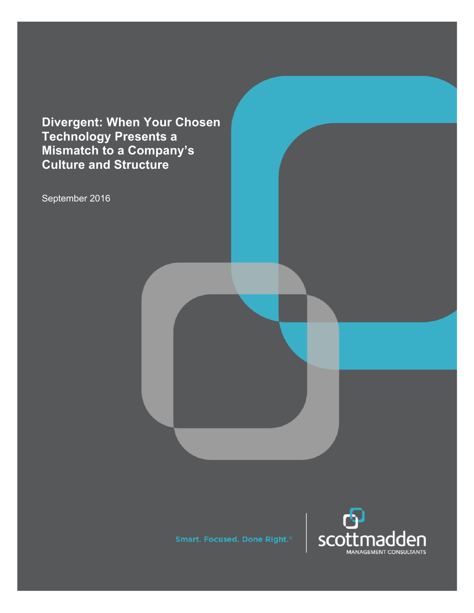**Divergent: When Your Chosen Technology Presents a Mismatch to a Company's Culture and Structure**

September 2016

**Smart. Focused. Done Right.<sup>®</sup>** 

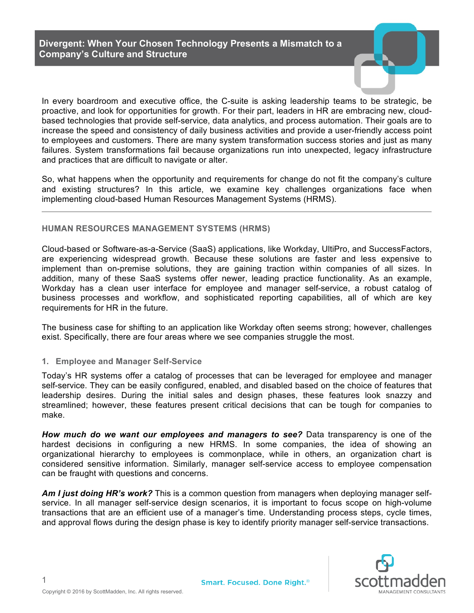**Divergent: When Your Chosen Technology Presents a Mismatch to a Company's Culture and Structure**

In every boardroom and executive office, the C-suite is asking leadership teams to be strategic, be proactive, and look for opportunities for growth. For their part, leaders in HR are embracing new, cloudbased technologies that provide self-service, data analytics, and process automation. Their goals are to increase the speed and consistency of daily business activities and provide a user-friendly access point to employees and customers. There are many system transformation success stories and just as many failures. System transformations fail because organizations run into unexpected, legacy infrastructure and practices that are difficult to navigate or alter.

So, what happens when the opportunity and requirements for change do not fit the company's culture and existing structures? In this article, we examine key challenges organizations face when implementing cloud-based Human Resources Management Systems (HRMS).

### **HUMAN RESOURCES MANAGEMENT SYSTEMS (HRMS)**

Cloud-based or Software-as-a-Service (SaaS) applications, like Workday, UltiPro, and SuccessFactors, are experiencing widespread growth. Because these solutions are faster and less expensive to implement than on-premise solutions, they are gaining traction within companies of all sizes. In addition, many of these SaaS systems offer newer, leading practice functionality. As an example, Workday has a clean user interface for employee and manager self-service, a robust catalog of business processes and workflow, and sophisticated reporting capabilities, all of which are key requirements for HR in the future.

The business case for shifting to an application like Workday often seems strong; however, challenges exist. Specifically, there are four areas where we see companies struggle the most.

#### **1. Employee and Manager Self-Service**

Today's HR systems offer a catalog of processes that can be leveraged for employee and manager self-service. They can be easily configured, enabled, and disabled based on the choice of features that leadership desires. During the initial sales and design phases, these features look snazzy and streamlined; however, these features present critical decisions that can be tough for companies to make.

*How much do we want our employees and managers to see?* Data transparency is one of the hardest decisions in configuring a new HRMS. In some companies, the idea of showing an organizational hierarchy to employees is commonplace, while in others, an organization chart is considered sensitive information. Similarly, manager self-service access to employee compensation can be fraught with questions and concerns.

*Am I just doing HR's work?* This is a common question from managers when deploying manager selfservice. In all manager self-service design scenarios, it is important to focus scope on high-volume transactions that are an efficient use of a manager's time. Understanding process steps, cycle times, and approval flows during the design phase is key to identify priority manager self-service transactions.

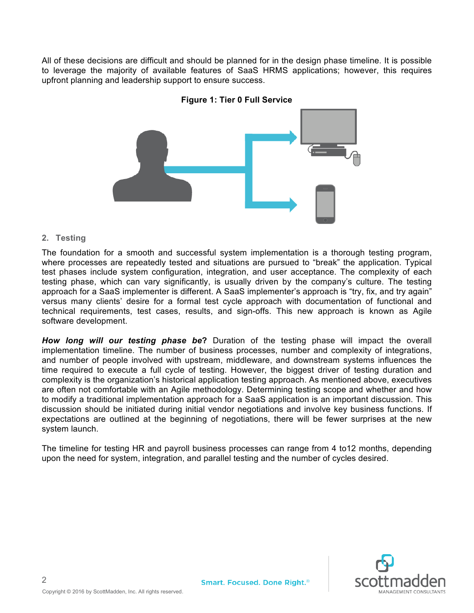All of these decisions are difficult and should be planned for in the design phase timeline. It is possible to leverage the majority of available features of SaaS HRMS applications; however, this requires upfront planning and leadership support to ensure success.





### **2. Testing**

The foundation for a smooth and successful system implementation is a thorough testing program, where processes are repeatedly tested and situations are pursued to "break" the application. Typical test phases include system configuration, integration, and user acceptance. The complexity of each testing phase, which can vary significantly, is usually driven by the company's culture. The testing approach for a SaaS implementer is different. A SaaS implementer's approach is "try, fix, and try again" versus many clients' desire for a formal test cycle approach with documentation of functional and technical requirements, test cases, results, and sign-offs. This new approach is known as Agile software development.

*How long will our testing phase be***?** Duration of the testing phase will impact the overall implementation timeline. The number of business processes, number and complexity of integrations, and number of people involved with upstream, middleware, and downstream systems influences the time required to execute a full cycle of testing. However, the biggest driver of testing duration and complexity is the organization's historical application testing approach. As mentioned above, executives are often not comfortable with an Agile methodology. Determining testing scope and whether and how to modify a traditional implementation approach for a SaaS application is an important discussion. This discussion should be initiated during initial vendor negotiations and involve key business functions. If expectations are outlined at the beginning of negotiations, there will be fewer surprises at the new system launch.

The timeline for testing HR and payroll business processes can range from 4 to12 months, depending upon the need for system, integration, and parallel testing and the number of cycles desired.

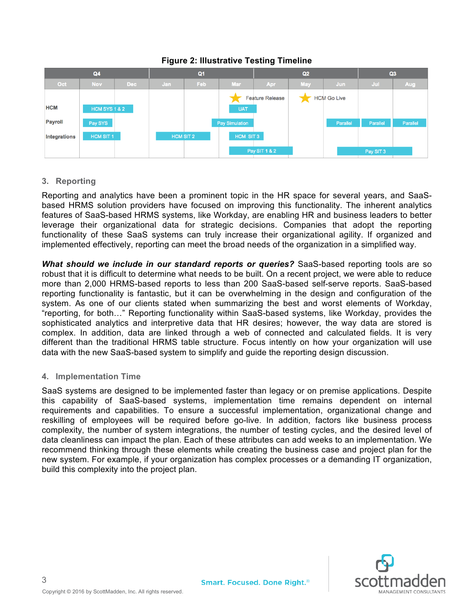

## **Figure 2: Illustrative Testing Timeline**

# **3. Reporting**

Reporting and analytics have been a prominent topic in the HR space for several years, and SaaSbased HRMS solution providers have focused on improving this functionality. The inherent analytics features of SaaS-based HRMS systems, like Workday, are enabling HR and business leaders to better leverage their organizational data for strategic decisions. Companies that adopt the reporting functionality of these SaaS systems can truly increase their organizational agility. If organized and implemented effectively, reporting can meet the broad needs of the organization in a simplified way.

*What should we include in our standard reports or queries?* SaaS-based reporting tools are so robust that it is difficult to determine what needs to be built. On a recent project, we were able to reduce more than 2,000 HRMS-based reports to less than 200 SaaS-based self-serve reports. SaaS-based reporting functionality is fantastic, but it can be overwhelming in the design and configuration of the system. As one of our clients stated when summarizing the best and worst elements of Workday, "reporting, for both…" Reporting functionality within SaaS-based systems, like Workday, provides the sophisticated analytics and interpretive data that HR desires; however, the way data are stored is complex. In addition, data are linked through a web of connected and calculated fields. It is very different than the traditional HRMS table structure. Focus intently on how your organization will use data with the new SaaS-based system to simplify and guide the reporting design discussion.

### **4. Implementation Time**

SaaS systems are designed to be implemented faster than legacy or on premise applications. Despite this capability of SaaS-based systems, implementation time remains dependent on internal requirements and capabilities. To ensure a successful implementation, organizational change and reskilling of employees will be required before go-live. In addition, factors like business process complexity, the number of system integrations, the number of testing cycles, and the desired level of data cleanliness can impact the plan. Each of these attributes can add weeks to an implementation. We recommend thinking through these elements while creating the business case and project plan for the new system. For example, if your organization has complex processes or a demanding IT organization, build this complexity into the project plan.